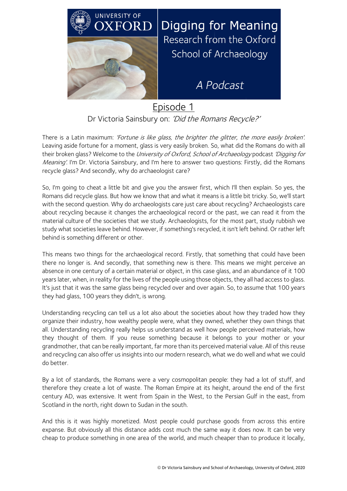

Episode 1 Dr Victoria Sainsbury on: 'Did the Romans Recycle?'

There is a Latin maximum: 'Fortune is like glass, the brighter the glitter, the more easily broken'. Leaving aside fortune for a moment, glass is very easily broken. So, what did the Romans do with all their broken glass? Welcome to the University of Oxford, School of Archaeology podcast 'Digging for Meaning'. I'm Dr. Victoria Sainsbury, and I'm here to answer two questions: Firstly, did the Romans recycle glass? And secondly, why do archaeologist care?

So, I'm going to cheat a little bit and give you the answer first, which I'll then explain. So yes, the Romans did recycle glass. But how we know that and what it means is a little bit tricky. So, we'll start with the second question. Why do archaeologists care just care about recycling? Archaeologists care about recycling because it changes the archaeological record or the past, we can read it from the material culture of the societies that we study. Archaeologists, for the most part, study rubbish we study what societies leave behind. However, if something's recycled, it isn't left behind. Or rather left behind is something different or other.

This means two things for the archaeological record. Firstly, that something that could have been there no longer is. And secondly, that something new is there. This means we might perceive an absence in one century of a certain material or object, in this case glass, and an abundance of it 100 years later, when, in reality for the lives of the people using those objects, they all had access to glass. It's just that it was the same glass being recycled over and over again. So, to assume that 100 years they had glass, 100 years they didn't, is wrong.

Understanding recycling can tell us a lot also about the societies about how they traded how they organize their industry, how wealthy people were, what they owned, whether they own things that all. Understanding recycling really helps us understand as well how people perceived materials, how they thought of them. If you reuse something because it belongs to your mother or your grandmother, that can be really important, far more than its perceived material value. All of this reuse and recycling can also offer us insights into our modern research, what we do well and what we could do better.

By a lot of standards, the Romans were a very cosmopolitan people: they had a lot of stuff, and therefore they create a lot of waste. The Roman Empire at its height, around the end of the first century AD, was extensive. It went from Spain in the West, to the Persian Gulf in the east, from Scotland in the north, right down to Sudan in the south.

And this is it was highly monetized. Most people could purchase goods from across this entire expanse. But obviously all this distance adds cost much the same way it does now. It can be very cheap to produce something in one area of the world, and much cheaper than to produce it locally,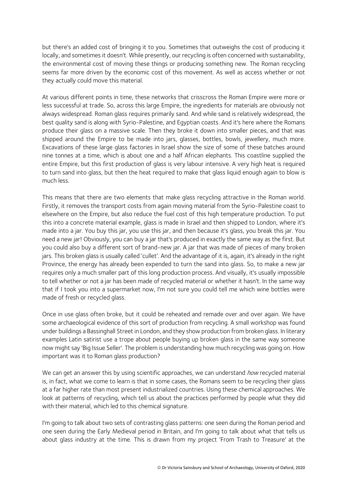but there's an added cost of bringing it to you. Sometimes that outweighs the cost of producing it locally, and sometimes it doesn't. While presently, our recycling is often concerned with sustainability, the environmental cost of moving these things or producing something new. The Roman recycling seems far more driven by the economic cost of this movement. As well as access whether or not they actually could move this material.

At various different points in time, these networks that crisscross the Roman Empire were more or less successful at trade. So, across this large Empire, the ingredients for materials are obviously not always widespread. Roman glass requires primarily sand. And while sand is relatively widespread, the best quality sand is along with Syrio-Palestine, and Egyptian coasts. And it's here where the Romans produce their glass on a massive scale. Then they broke it down into smaller pieces, and that was shipped around the Empire to be made into jars, glasses, bottles, bowls, jewellery, much more. Excavations of these large glass factories in Israel show the size of some of these batches around nine tonnes at a time, which is about one and a half African elephants. This coastline supplied the entire Empire, but this first production of glass is very labour intensive. A very high heat is required to turn sand into glass, but then the heat required to make that glass liquid enough again to blow is much less.

This means that there are two elements that make glass recycling attractive in the Roman world. Firstly, it removes the transport costs from again moving material from the Syrio-Palestine coast to elsewhere on the Empire, but also reduce the fuel cost of this high temperature production. To put this into a concrete material example, glass is made in Israel and then shipped to London, where it's made into a jar. You buy this jar, you use this jar, and then because it's glass, you break this jar. You need a new jar! Obviously, you can buy a jar that's produced in exactly the same way as the first. But you could also buy a different sort of brand-new jar. A jar that was made of pieces of many broken jars. This broken glass is usually called 'cullet'. And the advantage of it is, again, it's already in the right Province, the energy has already been expended to turn the sand into glass. So, to make a new jar requires only a much smaller part of this long production process. And visually, it's usually impossible to tell whether or not a jar has been made of recycled material or whether it hasn't. In the same way that if I took you into a supermarket now, I'm not sure you could tell me which wine bottles were made of fresh or recycled glass.

Once in use glass often broke, but it could be reheated and remade over and over again. We have some archaeological evidence of this sort of production from recycling. A small workshop was found under buildings a Bassinghall Street in London, and they show production from broken glass. In literary examples Latin satirist use a trope about people buying up broken glass in the same way someone now might say 'Big Issue Seller'. The problem is understanding how much recycling was going on. How important was it to Roman glass production?

We can get an answer this by using scientific approaches, we can understand how recycled material is, in fact, what we come to learn is that in some cases, the Romans seem to be recycling their glass at a far higher rate than most present industrialized countries. Using these chemical approaches. We look at patterns of recycling, which tell us about the practices performed by people what they did with their material, which led to this chemical signature.

I'm going to talk about two sets of contrasting glass patterns: one seen during the Roman period and one seen during the Early Medieval period in Britain, and I'm going to talk about what that tells us about glass industry at the time. This is drawn from my project 'From Trash to Treasure' at the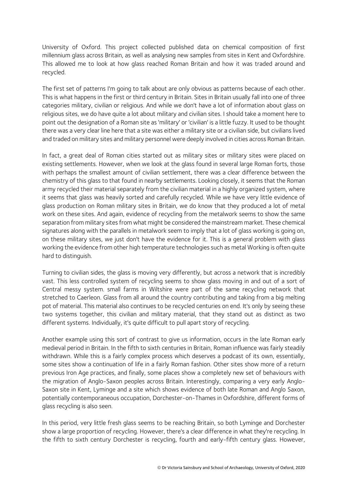University of Oxford. This project collected published data on chemical composition of first millennium glass across Britain, as well as analysing new samples from sites in Kent and Oxfordshire. This allowed me to look at how glass reached Roman Britain and how it was traded around and recycled.

The first set of patterns I'm going to talk about are only obvious as patterns because of each other. This is what happens in the first or third century in Britain. Sites in Britain usually fall into one of three categories military, civilian or religious. And while we don't have a lot of information about glass on religious sites, we do have quite a lot about military and civilian sites. I should take a moment here to point out the designation of a Roman site as 'military' or 'civilian' is a little fuzzy. It used to be thought there was a very clear line here that a site was either a military site or a civilian side, but civilians lived and traded on military sites and military personnel were deeply involved in cities across Roman Britain.

In fact, a great deal of Roman cities started out as military sites or military sites were placed on existing settlements. However, when we look at the glass found in several large Roman forts, those with perhaps the smallest amount of civilian settlement, there was a clear difference between the chemistry of this glass to that found in nearby settlements. Looking closely, it seems that the Roman army recycled their material separately from the civilian material in a highly organized system, where it seems that glass was heavily sorted and carefully recycled. While we have very little evidence of glass production on Roman military sites in Britain, we do know that they produced a lot of metal work on these sites. And again, evidence of recycling from the metalwork seems to show the same separation from military sites from what might be considered the mainstream market. These chemical signatures along with the parallels in metalwork seem to imply that a lot of glass working is going on, on these military sites, we just don't have the evidence for it. This is a general problem with glass working the evidence from other high temperature technologies such as metal Working is often quite hard to distinguish.

Turning to civilian sides, the glass is moving very differently, but across a network that is incredibly vast. This less controlled system of recycling seems to show glass moving in and out of a sort of Central messy system. small farms in Wiltshire were part of the same recycling network that stretched to Caerleon. Glass from all around the country contributing and taking from a big melting pot of material. This material also continues to be recycled centuries on end. It's only by seeing these two systems together, this civilian and military material, that they stand out as distinct as two different systems. Individually, it's quite difficult to pull apart story of recycling.

Another example using this sort of contrast to give us information, occurs in the late Roman early medieval period in Britain. In the fifth to sixth centuries in Britain, Roman influence was fairly steadily withdrawn. While this is a fairly complex process which deserves a podcast of its own, essentially, some sites show a continuation of life in a fairly Roman fashion. Other sites show more of a return previous Iron Age practices, and finally, some places show a completely new set of behaviours with the migration of Anglo-Saxon peoples across Britain. Interestingly, comparing a very early Anglo-Saxon site in Kent, Lyminge and a site which shows evidence of both late Roman and Anglo Saxon, potentially contemporaneous occupation, Dorchester-on-Thames in Oxfordshire, different forms of glass recycling is also seen.

In this period, very little fresh glass seems to be reaching Britain, so both Lyminge and Dorchester show a large proportion of recycling. However, there's a clear difference in what they're recycling. In the fifth to sixth century Dorchester is recycling, fourth and early-fifth century glass. However,